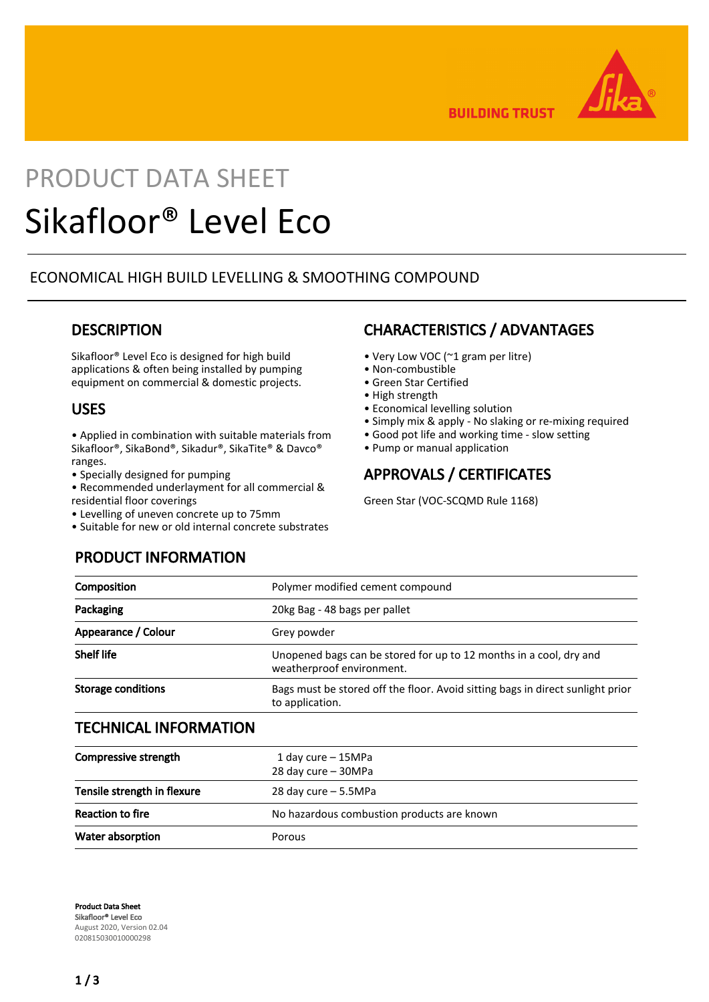

**BUILDING TRUST** 

# PRODUCT DATA SHEET Sikafloor® Level Eco

# ECONOMICAL HIGH BUILD LEVELLING & SMOOTHING COMPOUND

## **DESCRIPTION**

Sikafloor® Level Eco is designed for high build applications & often being installed by pumping equipment on commercial & domestic projects.

## USES

• Applied in combination with suitable materials from Sikafloor®, SikaBond®, Sikadur®, SikaTite® & Davco® ranges.

- Specially designed for pumping
- Recommended underlayment for all commercial & residential floor coverings
- Levelling of uneven concrete up to 75mm

PRODUCT INFORMATION

• Suitable for new or old internal concrete substrates

## CHARACTERISTICS / ADVANTAGES

- Very Low VOC (~1 gram per litre)
- Non-combustible
- Green Star Certified
- High strength
- Economical levelling solution
- Simply mix & apply No slaking or re-mixing required
- Good pot life and working time slow setting
- Pump or manual application

# APPROVALS / CERTIFICATES

Green Star (VOC-SCQMD Rule 1168)

| Composition                   | Polymer modified cement compound                                                                  |  |
|-------------------------------|---------------------------------------------------------------------------------------------------|--|
| Packaging                     | 20kg Bag - 48 bags per pallet                                                                     |  |
| Appearance / Colour           | Grey powder                                                                                       |  |
| <b>Shelf life</b>             | Unopened bags can be stored for up to 12 months in a cool, dry and<br>weatherproof environment.   |  |
| <b>Storage conditions</b>     | Bags must be stored off the floor. Avoid sitting bags in direct sunlight prior<br>to application. |  |
| TEAU HUA AL INIFADILI A TIANI |                                                                                                   |  |

## TECHNICAL INFORMATION

| Compressive strength        | 1 day cure $-$ 15MPa<br>28 day cure - 30MPa |
|-----------------------------|---------------------------------------------|
| Tensile strength in flexure | 28 day cure $-5.5MPa$                       |
| <b>Reaction to fire</b>     | No hazardous combustion products are known  |
| Water absorption            | Porous                                      |

Product Data Sheet Sikafloor® Level Eco August 2020, Version 02.04 020815030010000298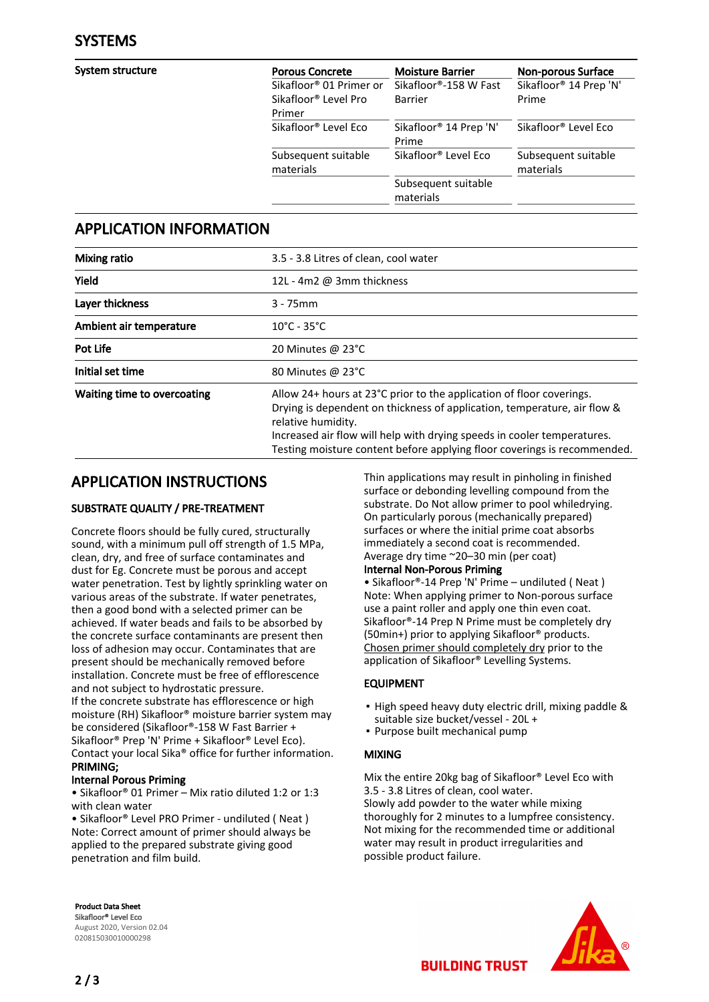System structure

| <b>Porous Concrete</b>              | <b>Moisture Barrier</b>            | <b>Non-porous Surface</b>        |
|-------------------------------------|------------------------------------|----------------------------------|
| Sikafloor <sup>®</sup> 01 Primer or | Sikafloor®-158 W Fast              | Sikafloor® 14 Prep 'N'           |
| Sikafloor <sup>®</sup> Level Pro    | Barrier                            | Prime                            |
| Primer                              |                                    |                                  |
| Sikafloor <sup>®</sup> Level Eco    | Sikafloor <sup>®</sup> 14 Prep 'N' | Sikafloor <sup>®</sup> Level Eco |
|                                     | Prime                              |                                  |
| Subsequent suitable                 | Sikafloor <sup>®</sup> Level Eco   | Subsequent suitable              |
| materials                           |                                    | materials                        |
|                                     | Subsequent suitable                |                                  |
|                                     | materials                          |                                  |

## APPLICATION INFORMATION

| <b>Mixing ratio</b>         | 3.5 - 3.8 Litres of clean, cool water                                                                                                                                                                                                                                                                                         |  |
|-----------------------------|-------------------------------------------------------------------------------------------------------------------------------------------------------------------------------------------------------------------------------------------------------------------------------------------------------------------------------|--|
| Yield                       | 12L - 4m2 @ 3mm thickness                                                                                                                                                                                                                                                                                                     |  |
| Layer thickness             | $3 - 75$ mm                                                                                                                                                                                                                                                                                                                   |  |
| Ambient air temperature     | $10^{\circ}$ C - 35 $^{\circ}$ C                                                                                                                                                                                                                                                                                              |  |
| <b>Pot Life</b>             | 20 Minutes @ 23°C                                                                                                                                                                                                                                                                                                             |  |
| Initial set time            | 80 Minutes @ 23°C                                                                                                                                                                                                                                                                                                             |  |
| Waiting time to overcoating | Allow 24+ hours at 23°C prior to the application of floor coverings.<br>Drying is dependent on thickness of application, temperature, air flow &<br>relative humidity.<br>Increased air flow will help with drying speeds in cooler temperatures.<br>Testing moisture content before applying floor coverings is recommended. |  |

# APPLICATION INSTRUCTIONS

## SUBSTRATE QUALITY / PRE-TREATMENT

Concrete floors should be fully cured, structurally sound, with a minimum pull off strength of 1.5 MPa, clean, dry, and free of surface contaminates and dust for Eg. Concrete must be porous and accept water penetration. Test by lightly sprinkling water on various areas of the substrate. If water penetrates, then a good bond with a selected primer can be achieved. If water beads and fails to be absorbed by the concrete surface contaminants are present then loss of adhesion may occur. Contaminates that are present should be mechanically removed before installation. Concrete must be free of efflorescence and not subject to hydrostatic pressure. If the concrete substrate has efflorescence or high moisture (RH) Sikafloor® moisture barrier system may be considered (Sikafloor®-158 W Fast Barrier + Sikafloor® Prep 'N' Prime + Sikafloor® Level Eco). Contact your local Sika® office for further information. PRIMING;

## Internal Porous Priming

• Sikafloor® 01 Primer – Mix ratio diluted 1:2 or 1:3 with clean water

• Sikafloor® Level PRO Primer - undiluted ( Neat ) Note: Correct amount of primer should always be applied to the prepared substrate giving good penetration and film build.

Product Data Sheet Sikafloor® Level Eco August 2020, Version 02.04 020815030010000298

Thin applications may result in pinholing in finished surface or debonding levelling compound from the substrate. Do Not allow primer to pool whiledrying. On particularly porous (mechanically prepared) surfaces or where the initial prime coat absorbs immediately a second coat is recommended. Average dry time ~20–30 min (per coat)

## Internal Non-Porous Priming

• Sikafloor®-14 Prep 'N' Prime – undiluted ( Neat ) Note: When applying primer to Non-porous surface use a paint roller and apply one thin even coat. Sikafloor®-14 Prep N Prime must be completely dry (50min+) prior to applying Sikafloor® products. Chosen primer should completely dry prior to the application of Sikafloor® Levelling Systems.

## EQUIPMENT

- **.** High speed heavy duty electric drill, mixing paddle & suitable size bucket/vessel - 20L +
- Purpose built mechanical pump

## MIXING

Mix the entire 20kg bag of Sikafloor® Level Eco with 3.5 - 3.8 Litres of clean, cool water. Slowly add powder to the water while mixing thoroughly for 2 minutes to a lumpfree consistency. Not mixing for the recommended time or additional water may result in product irregularities and possible product failure.

**BUILDING TRUST**